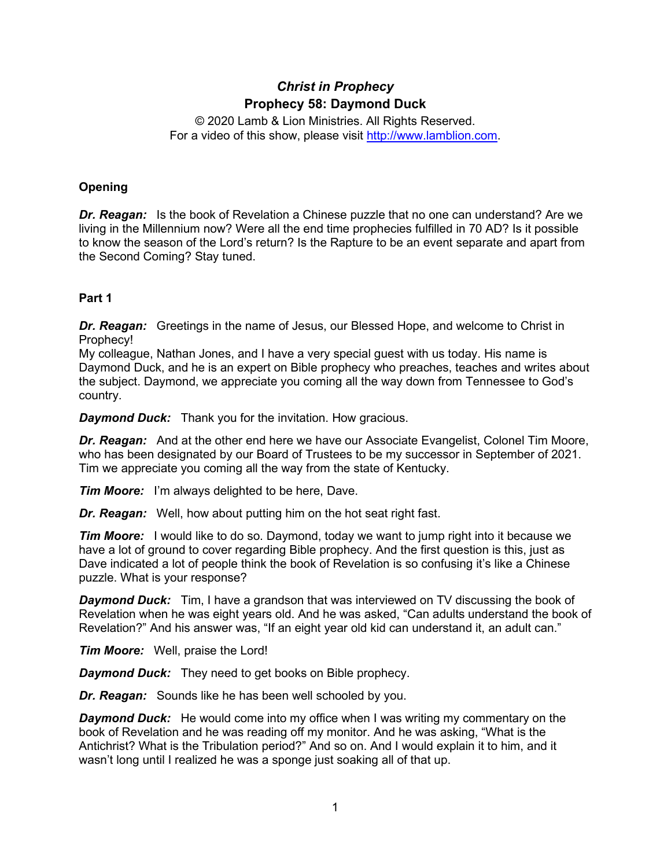# *Christ in Prophecy* **Prophecy 58: Daymond Duck**

© 2020 Lamb & Lion Ministries. All Rights Reserved. For a video of this show, please visit [http://www.lamblion.com.](http://www.lamblion.com/)

# **Opening**

*Dr. Reagan:* Is the book of Revelation a Chinese puzzle that no one can understand? Are we living in the Millennium now? Were all the end time prophecies fulfilled in 70 AD? Is it possible to know the season of the Lord's return? Is the Rapture to be an event separate and apart from the Second Coming? Stay tuned.

# **Part 1**

*Dr. Reagan:* Greetings in the name of Jesus, our Blessed Hope, and welcome to Christ in Prophecy!

My colleague, Nathan Jones, and I have a very special guest with us today. His name is Daymond Duck, and he is an expert on Bible prophecy who preaches, teaches and writes about the subject. Daymond, we appreciate you coming all the way down from Tennessee to God's country.

*Daymond Duck:* Thank you for the invitation. How gracious.

*Dr. Reagan:* And at the other end here we have our Associate Evangelist, Colonel Tim Moore, who has been designated by our Board of Trustees to be my successor in September of 2021. Tim we appreciate you coming all the way from the state of Kentucky.

*Tim Moore:* I'm always delighted to be here, Dave.

*Dr. Reagan:* Well, how about putting him on the hot seat right fast.

**Tim Moore:** I would like to do so. Daymond, today we want to jump right into it because we have a lot of ground to cover regarding Bible prophecy. And the first question is this, just as Dave indicated a lot of people think the book of Revelation is so confusing it's like a Chinese puzzle. What is your response?

*Daymond Duck:* Tim, I have a grandson that was interviewed on TV discussing the book of Revelation when he was eight years old. And he was asked, "Can adults understand the book of Revelation?" And his answer was, "If an eight year old kid can understand it, an adult can."

*Tim Moore:* Well, praise the Lord!

*Daymond Duck:* They need to get books on Bible prophecy.

*Dr. Reagan:* Sounds like he has been well schooled by you.

*Daymond Duck:* He would come into my office when I was writing my commentary on the book of Revelation and he was reading off my monitor. And he was asking, "What is the Antichrist? What is the Tribulation period?" And so on. And I would explain it to him, and it wasn't long until I realized he was a sponge just soaking all of that up.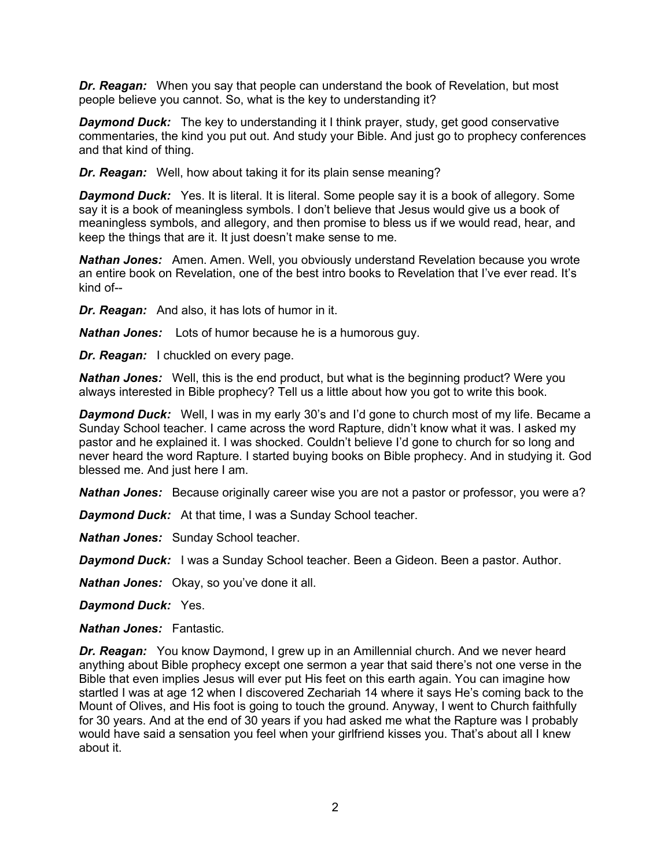*Dr. Reagan:* When you say that people can understand the book of Revelation, but most people believe you cannot. So, what is the key to understanding it?

*Daymond Duck:* The key to understanding it I think prayer, study, get good conservative commentaries, the kind you put out. And study your Bible. And just go to prophecy conferences and that kind of thing.

*Dr. Reagan:* Well, how about taking it for its plain sense meaning?

*Daymond Duck:* Yes. It is literal. It is literal. Some people say it is a book of allegory. Some say it is a book of meaningless symbols. I don't believe that Jesus would give us a book of meaningless symbols, and allegory, and then promise to bless us if we would read, hear, and keep the things that are it. It just doesn't make sense to me.

*Nathan Jones:* Amen. Amen. Well, you obviously understand Revelation because you wrote an entire book on Revelation, one of the best intro books to Revelation that I've ever read. It's kind of--

*Dr. Reagan:* And also, it has lots of humor in it.

*Nathan Jones:* Lots of humor because he is a humorous guy.

*Dr. Reagan:* I chuckled on every page.

*Nathan Jones:* Well, this is the end product, but what is the beginning product? Were you always interested in Bible prophecy? Tell us a little about how you got to write this book.

*Daymond Duck:* Well, I was in my early 30's and I'd gone to church most of my life. Became a Sunday School teacher. I came across the word Rapture, didn't know what it was. I asked my pastor and he explained it. I was shocked. Couldn't believe I'd gone to church for so long and never heard the word Rapture. I started buying books on Bible prophecy. And in studying it. God blessed me. And just here I am.

**Nathan Jones:** Because originally career wise you are not a pastor or professor, you were a?

*Daymond Duck:* At that time, I was a Sunday School teacher.

*Nathan Jones:* Sunday School teacher.

*Daymond Duck:* I was a Sunday School teacher. Been a Gideon. Been a pastor. Author.

*Nathan Jones:* Okay, so you've done it all.

*Daymond Duck:* Yes.

*Nathan Jones:* Fantastic.

*Dr. Reagan:* You know Daymond, I grew up in an Amillennial church. And we never heard anything about Bible prophecy except one sermon a year that said there's not one verse in the Bible that even implies Jesus will ever put His feet on this earth again. You can imagine how startled I was at age 12 when I discovered Zechariah 14 where it says He's coming back to the Mount of Olives, and His foot is going to touch the ground. Anyway, I went to Church faithfully for 30 years. And at the end of 30 years if you had asked me what the Rapture was I probably would have said a sensation you feel when your girlfriend kisses you. That's about all I knew about it.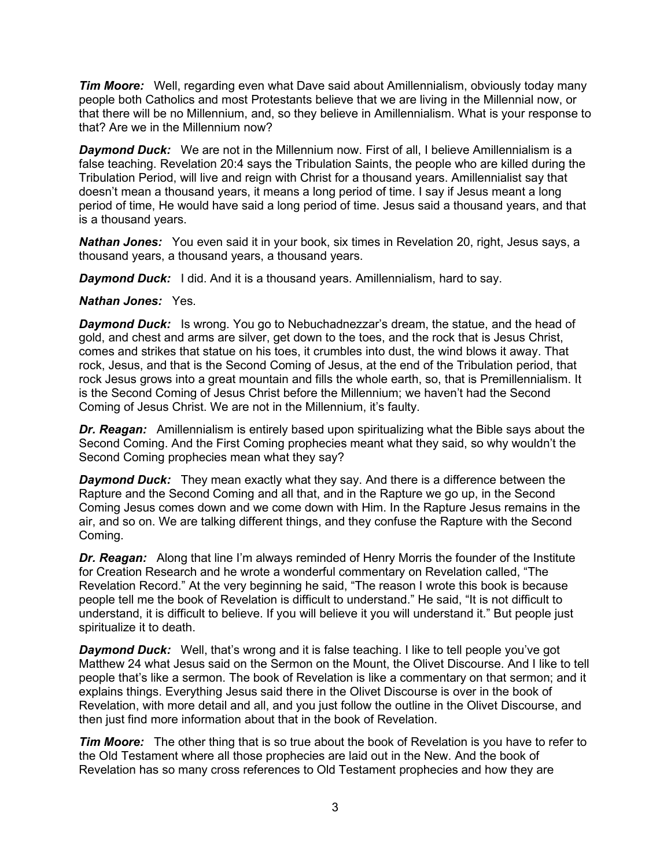*Tim Moore:* Well, regarding even what Dave said about Amillennialism, obviously today many people both Catholics and most Protestants believe that we are living in the Millennial now, or that there will be no Millennium, and, so they believe in Amillennialism. What is your response to that? Are we in the Millennium now?

*Daymond Duck:* We are not in the Millennium now. First of all, I believe Amillennialism is a false teaching. Revelation 20:4 says the Tribulation Saints, the people who are killed during the Tribulation Period, will live and reign with Christ for a thousand years. Amillennialist say that doesn't mean a thousand years, it means a long period of time. I say if Jesus meant a long period of time, He would have said a long period of time. Jesus said a thousand years, and that is a thousand years.

*Nathan Jones:* You even said it in your book, six times in Revelation 20, right, Jesus says, a thousand years, a thousand years, a thousand years.

*Daymond Duck:* I did. And it is a thousand years. Amillennialism, hard to say.

# *Nathan Jones:* Yes.

*Daymond Duck:* Is wrong. You go to Nebuchadnezzar's dream, the statue, and the head of gold, and chest and arms are silver, get down to the toes, and the rock that is Jesus Christ, comes and strikes that statue on his toes, it crumbles into dust, the wind blows it away. That rock, Jesus, and that is the Second Coming of Jesus, at the end of the Tribulation period, that rock Jesus grows into a great mountain and fills the whole earth, so, that is Premillennialism. It is the Second Coming of Jesus Christ before the Millennium; we haven't had the Second Coming of Jesus Christ. We are not in the Millennium, it's faulty.

*Dr. Reagan:* Amillennialism is entirely based upon spiritualizing what the Bible says about the Second Coming. And the First Coming prophecies meant what they said, so why wouldn't the Second Coming prophecies mean what they say?

*Daymond Duck:* They mean exactly what they say. And there is a difference between the Rapture and the Second Coming and all that, and in the Rapture we go up, in the Second Coming Jesus comes down and we come down with Him. In the Rapture Jesus remains in the air, and so on. We are talking different things, and they confuse the Rapture with the Second Coming.

*Dr. Reagan:* Along that line I'm always reminded of Henry Morris the founder of the Institute for Creation Research and he wrote a wonderful commentary on Revelation called, "The Revelation Record." At the very beginning he said, "The reason I wrote this book is because people tell me the book of Revelation is difficult to understand." He said, "It is not difficult to understand, it is difficult to believe. If you will believe it you will understand it." But people just spiritualize it to death.

**Daymond Duck:** Well, that's wrong and it is false teaching. I like to tell people you've got Matthew 24 what Jesus said on the Sermon on the Mount, the Olivet Discourse. And I like to tell people that's like a sermon. The book of Revelation is like a commentary on that sermon; and it explains things. Everything Jesus said there in the Olivet Discourse is over in the book of Revelation, with more detail and all, and you just follow the outline in the Olivet Discourse, and then just find more information about that in the book of Revelation.

*Tim Moore:* The other thing that is so true about the book of Revelation is you have to refer to the Old Testament where all those prophecies are laid out in the New. And the book of Revelation has so many cross references to Old Testament prophecies and how they are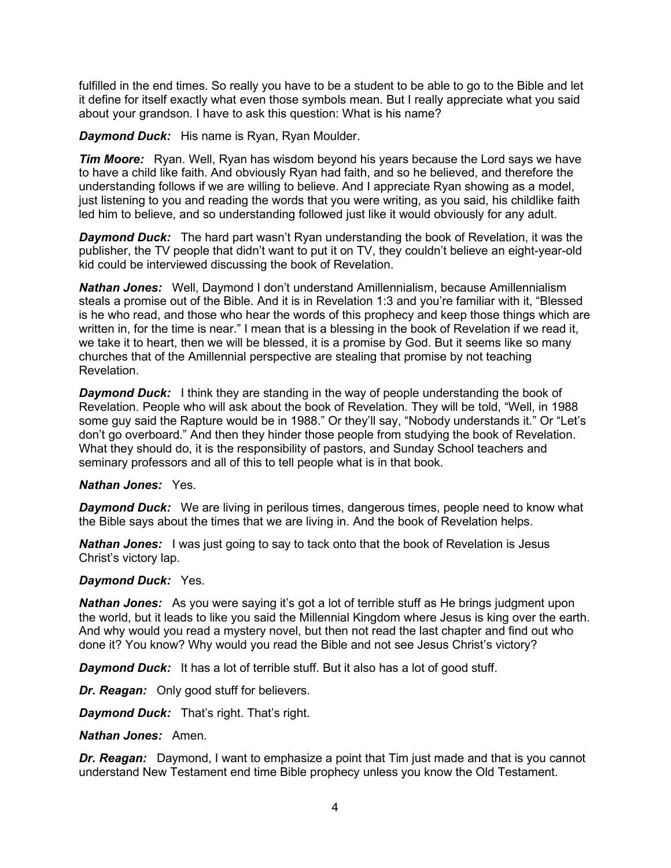fulfilled in the end times. So really you have to be a student to be able to go to the Bible and let it define for itself exactly what even those symbols mean. But I really appreciate what you said about your grandson. I have to ask this question: What is his name?

*Daymond Duck:* His name is Ryan, Ryan Moulder.

*Tim Moore:* Ryan. Well, Ryan has wisdom beyond his years because the Lord says we have to have a child like faith. And obviously Ryan had faith, and so he believed, and therefore the understanding follows if we are willing to believe. And I appreciate Ryan showing as a model, just listening to you and reading the words that you were writing, as you said, his childlike faith led him to believe, and so understanding followed just like it would obviously for any adult.

*Daymond Duck:* The hard part wasn't Ryan understanding the book of Revelation, it was the publisher, the TV people that didn't want to put it on TV, they couldn't believe an eight-year-old kid could be interviewed discussing the book of Revelation.

*Nathan Jones:* Well, Daymond I don't understand Amillennialism, because Amillennialism steals a promise out of the Bible. And it is in Revelation 1:3 and you're familiar with it, "Blessed is he who read, and those who hear the words of this prophecy and keep those things which are written in, for the time is near." I mean that is a blessing in the book of Revelation if we read it, we take it to heart, then we will be blessed, it is a promise by God. But it seems like so many churches that of the Amillennial perspective are stealing that promise by not teaching Revelation.

*Daymond Duck:* I think they are standing in the way of people understanding the book of Revelation. People who will ask about the book of Revelation. They will be told, "Well, in 1988 some guy said the Rapture would be in 1988." Or they'll say, "Nobody understands it." Or "Let's don't go overboard." And then they hinder those people from studying the book of Revelation. What they should do, it is the responsibility of pastors, and Sunday School teachers and seminary professors and all of this to tell people what is in that book.

#### *Nathan Jones:* Yes.

*Daymond Duck:* We are living in perilous times, dangerous times, people need to know what the Bible says about the times that we are living in. And the book of Revelation helps.

*Nathan Jones:* I was just going to say to tack onto that the book of Revelation is Jesus Christ's victory lap.

#### *Daymond Duck:* Yes.

*Nathan Jones:* As you were saying it's got a lot of terrible stuff as He brings judgment upon the world, but it leads to like you said the Millennial Kingdom where Jesus is king over the earth. And why would you read a mystery novel, but then not read the last chapter and find out who done it? You know? Why would you read the Bible and not see Jesus Christ's victory?

*Daymond Duck:* It has a lot of terrible stuff. But it also has a lot of good stuff.

*Dr. Reagan:* Only good stuff for believers.

*Daymond Duck:* That's right. That's right.

#### *Nathan Jones:* Amen.

*Dr. Reagan:* Daymond, I want to emphasize a point that Tim just made and that is you cannot understand New Testament end time Bible prophecy unless you know the Old Testament.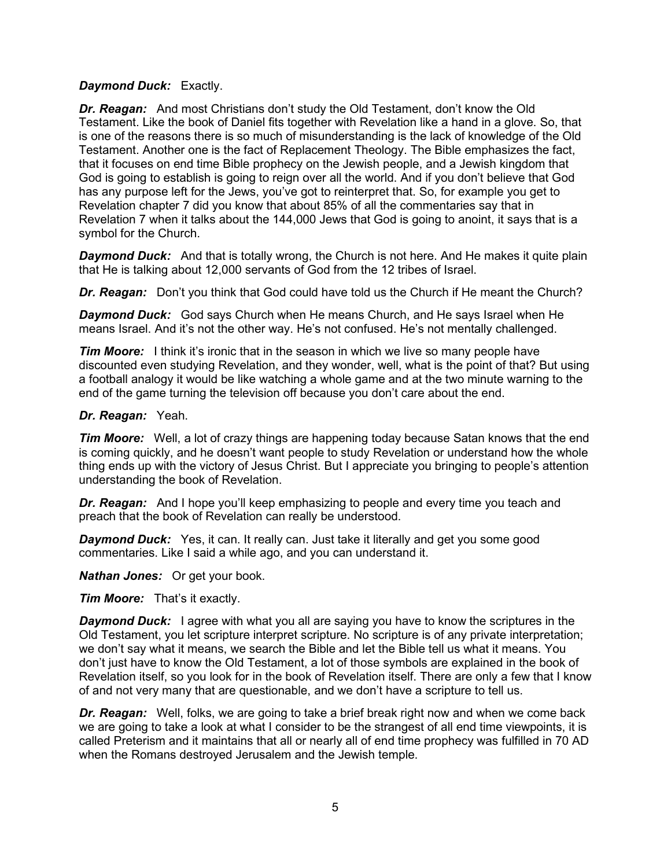# *Daymond Duck:* Exactly.

*Dr. Reagan:* And most Christians don't study the Old Testament, don't know the Old Testament. Like the book of Daniel fits together with Revelation like a hand in a glove. So, that is one of the reasons there is so much of misunderstanding is the lack of knowledge of the Old Testament. Another one is the fact of Replacement Theology. The Bible emphasizes the fact, that it focuses on end time Bible prophecy on the Jewish people, and a Jewish kingdom that God is going to establish is going to reign over all the world. And if you don't believe that God has any purpose left for the Jews, you've got to reinterpret that. So, for example you get to Revelation chapter 7 did you know that about 85% of all the commentaries say that in Revelation 7 when it talks about the 144,000 Jews that God is going to anoint, it says that is a symbol for the Church.

**Daymond Duck:** And that is totally wrong, the Church is not here. And He makes it quite plain that He is talking about 12,000 servants of God from the 12 tribes of Israel.

*Dr. Reagan:* Don't you think that God could have told us the Church if He meant the Church?

*Daymond Duck:* God says Church when He means Church, and He says Israel when He means Israel. And it's not the other way. He's not confused. He's not mentally challenged.

*Tim Moore:* I think it's ironic that in the season in which we live so many people have discounted even studying Revelation, and they wonder, well, what is the point of that? But using a football analogy it would be like watching a whole game and at the two minute warning to the end of the game turning the television off because you don't care about the end.

#### *Dr. Reagan:* Yeah.

*Tim Moore:* Well, a lot of crazy things are happening today because Satan knows that the end is coming quickly, and he doesn't want people to study Revelation or understand how the whole thing ends up with the victory of Jesus Christ. But I appreciate you bringing to people's attention understanding the book of Revelation.

*Dr. Reagan:* And I hope you'll keep emphasizing to people and every time you teach and preach that the book of Revelation can really be understood.

**Daymond Duck:** Yes, it can. It really can. Just take it literally and get you some good commentaries. Like I said a while ago, and you can understand it.

*Nathan Jones:* Or get your book.

*Tim Moore:* That's it exactly.

*Daymond Duck:* I agree with what you all are saying you have to know the scriptures in the Old Testament, you let scripture interpret scripture. No scripture is of any private interpretation; we don't say what it means, we search the Bible and let the Bible tell us what it means. You don't just have to know the Old Testament, a lot of those symbols are explained in the book of Revelation itself, so you look for in the book of Revelation itself. There are only a few that I know of and not very many that are questionable, and we don't have a scripture to tell us.

*Dr. Reagan:* Well, folks, we are going to take a brief break right now and when we come back we are going to take a look at what I consider to be the strangest of all end time viewpoints, it is called Preterism and it maintains that all or nearly all of end time prophecy was fulfilled in 70 AD when the Romans destroyed Jerusalem and the Jewish temple.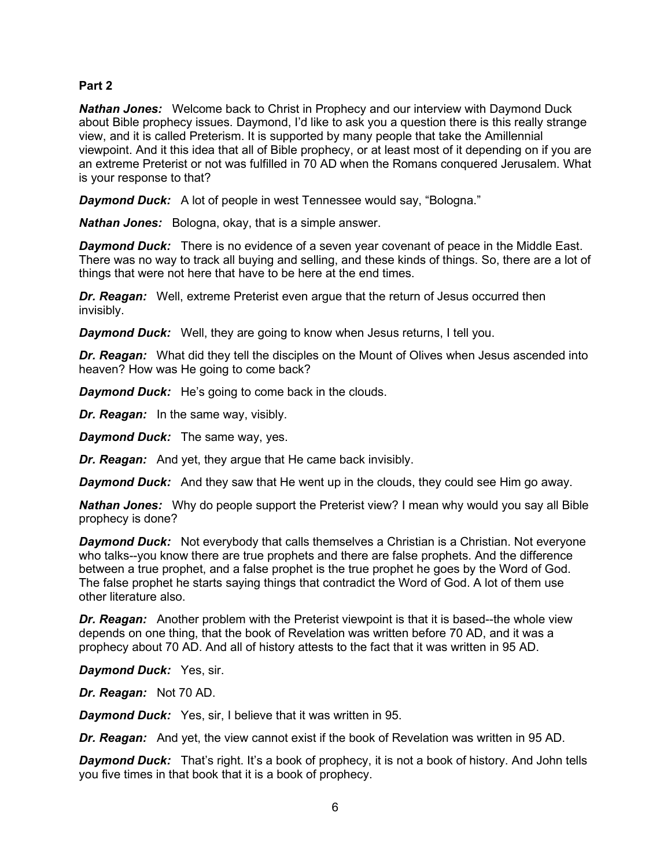# **Part 2**

*Nathan Jones:* Welcome back to Christ in Prophecy and our interview with Daymond Duck about Bible prophecy issues. Daymond, I'd like to ask you a question there is this really strange view, and it is called Preterism. It is supported by many people that take the Amillennial viewpoint. And it this idea that all of Bible prophecy, or at least most of it depending on if you are an extreme Preterist or not was fulfilled in 70 AD when the Romans conquered Jerusalem. What is your response to that?

**Daymond Duck:** A lot of people in west Tennessee would say, "Bologna."

*Nathan Jones:* Bologna, okay, that is a simple answer.

*Daymond Duck:* There is no evidence of a seven year covenant of peace in the Middle East. There was no way to track all buying and selling, and these kinds of things. So, there are a lot of things that were not here that have to be here at the end times.

*Dr. Reagan:* Well, extreme Preterist even argue that the return of Jesus occurred then invisibly.

*Daymond Duck:* Well, they are going to know when Jesus returns, I tell you.

*Dr. Reagan:* What did they tell the disciples on the Mount of Olives when Jesus ascended into heaven? How was He going to come back?

*Daymond Duck:* He's going to come back in the clouds.

*Dr. Reagan:* In the same way, visibly.

*Daymond Duck:* The same way, yes.

*Dr. Reagan:* And yet, they argue that He came back invisibly.

*Daymond Duck:* And they saw that He went up in the clouds, they could see Him go away.

*Nathan Jones:* Why do people support the Preterist view? I mean why would you say all Bible prophecy is done?

**Daymond Duck:** Not everybody that calls themselves a Christian is a Christian. Not everyone who talks--you know there are true prophets and there are false prophets. And the difference between a true prophet, and a false prophet is the true prophet he goes by the Word of God. The false prophet he starts saying things that contradict the Word of God. A lot of them use other literature also.

*Dr. Reagan:* Another problem with the Preterist viewpoint is that it is based--the whole view depends on one thing, that the book of Revelation was written before 70 AD, and it was a prophecy about 70 AD. And all of history attests to the fact that it was written in 95 AD.

*Daymond Duck:* Yes, sir.

*Dr. Reagan:* Not 70 AD.

*Daymond Duck:* Yes, sir, I believe that it was written in 95.

*Dr. Reagan:* And yet, the view cannot exist if the book of Revelation was written in 95 AD.

*Daymond Duck:* That's right. It's a book of prophecy, it is not a book of history. And John tells you five times in that book that it is a book of prophecy.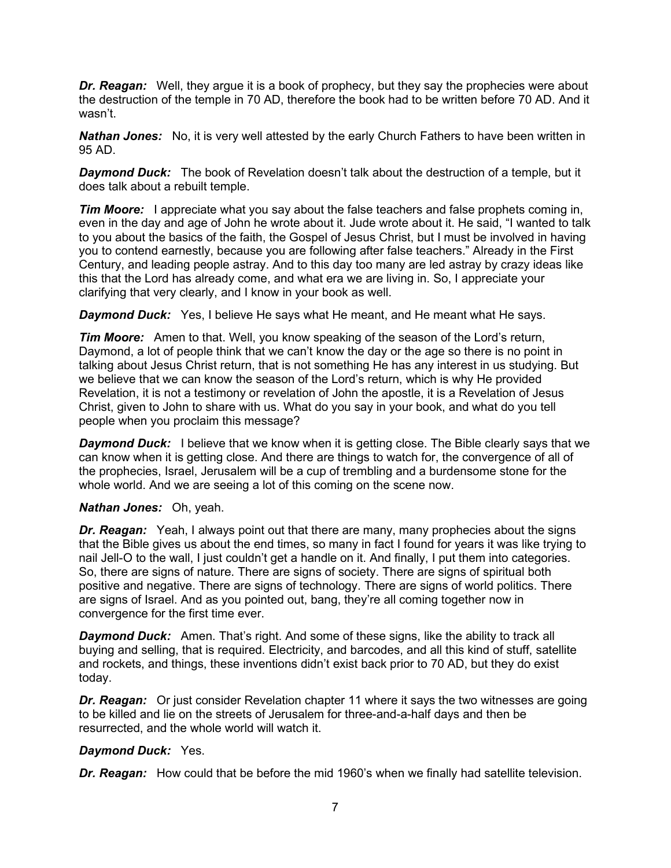*Dr. Reagan:* Well, they argue it is a book of prophecy, but they say the prophecies were about the destruction of the temple in 70 AD, therefore the book had to be written before 70 AD. And it wasn't.

*Nathan Jones:* No, it is very well attested by the early Church Fathers to have been written in 95 AD.

*Daymond Duck:* The book of Revelation doesn't talk about the destruction of a temple, but it does talk about a rebuilt temple.

*Tim Moore:* I appreciate what you say about the false teachers and false prophets coming in, even in the day and age of John he wrote about it. Jude wrote about it. He said, "I wanted to talk to you about the basics of the faith, the Gospel of Jesus Christ, but I must be involved in having you to contend earnestly, because you are following after false teachers." Already in the First Century, and leading people astray. And to this day too many are led astray by crazy ideas like this that the Lord has already come, and what era we are living in. So, I appreciate your clarifying that very clearly, and I know in your book as well.

*Daymond Duck:* Yes, I believe He says what He meant, and He meant what He says.

*Tim Moore:* Amen to that. Well, you know speaking of the season of the Lord's return, Daymond, a lot of people think that we can't know the day or the age so there is no point in talking about Jesus Christ return, that is not something He has any interest in us studying. But we believe that we can know the season of the Lord's return, which is why He provided Revelation, it is not a testimony or revelation of John the apostle, it is a Revelation of Jesus Christ, given to John to share with us. What do you say in your book, and what do you tell people when you proclaim this message?

**Daymond Duck:** I believe that we know when it is getting close. The Bible clearly says that we can know when it is getting close. And there are things to watch for, the convergence of all of the prophecies, Israel, Jerusalem will be a cup of trembling and a burdensome stone for the whole world. And we are seeing a lot of this coming on the scene now.

#### *Nathan Jones:* Oh, yeah.

**Dr. Reagan:** Yeah, I always point out that there are many, many prophecies about the signs that the Bible gives us about the end times, so many in fact I found for years it was like trying to nail Jell-O to the wall, I just couldn't get a handle on it. And finally, I put them into categories. So, there are signs of nature. There are signs of society. There are signs of spiritual both positive and negative. There are signs of technology. There are signs of world politics. There are signs of Israel. And as you pointed out, bang, they're all coming together now in convergence for the first time ever.

**Daymond Duck:** Amen. That's right. And some of these signs, like the ability to track all buying and selling, that is required. Electricity, and barcodes, and all this kind of stuff, satellite and rockets, and things, these inventions didn't exist back prior to 70 AD, but they do exist today.

*Dr. Reagan:* Or just consider Revelation chapter 11 where it says the two witnesses are going to be killed and lie on the streets of Jerusalem for three-and-a-half days and then be resurrected, and the whole world will watch it.

#### *Daymond Duck:* Yes.

*Dr. Reagan:* How could that be before the mid 1960's when we finally had satellite television.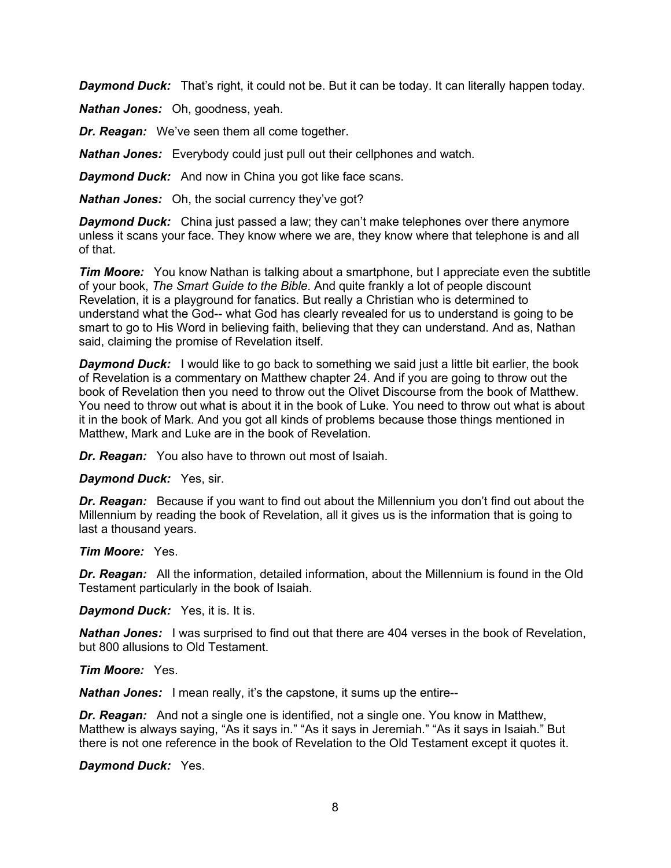*Daymond Duck:* That's right, it could not be. But it can be today. It can literally happen today.

*Nathan Jones:* Oh, goodness, yeah.

*Dr. Reagan:* We've seen them all come together.

*Nathan Jones:* Everybody could just pull out their cellphones and watch.

**Daymond Duck:** And now in China you got like face scans.

*Nathan Jones:* Oh, the social currency they've got?

*Daymond Duck:* China just passed a law; they can't make telephones over there anymore unless it scans your face. They know where we are, they know where that telephone is and all of that.

*Tim Moore:* You know Nathan is talking about a smartphone, but I appreciate even the subtitle of your book, *The Smart Guide to the Bible*. And quite frankly a lot of people discount Revelation, it is a playground for fanatics. But really a Christian who is determined to understand what the God-- what God has clearly revealed for us to understand is going to be smart to go to His Word in believing faith, believing that they can understand. And as, Nathan said, claiming the promise of Revelation itself.

**Daymond Duck:** I would like to go back to something we said just a little bit earlier, the book of Revelation is a commentary on Matthew chapter 24. And if you are going to throw out the book of Revelation then you need to throw out the Olivet Discourse from the book of Matthew. You need to throw out what is about it in the book of Luke. You need to throw out what is about it in the book of Mark. And you got all kinds of problems because those things mentioned in Matthew, Mark and Luke are in the book of Revelation.

*Dr. Reagan:* You also have to thrown out most of Isaiah.

*Daymond Duck:* Yes, sir.

*Dr. Reagan:* Because if you want to find out about the Millennium you don't find out about the Millennium by reading the book of Revelation, all it gives us is the information that is going to last a thousand years.

*Tim Moore:* Yes.

*Dr. Reagan:* All the information, detailed information, about the Millennium is found in the Old Testament particularly in the book of Isaiah.

*Daymond Duck:* Yes, it is. It is.

*Nathan Jones:* I was surprised to find out that there are 404 verses in the book of Revelation, but 800 allusions to Old Testament.

*Tim Moore:* Yes.

*Nathan Jones:* I mean really, it's the capstone, it sums up the entire--

*Dr. Reagan:* And not a single one is identified, not a single one. You know in Matthew, Matthew is always saying, "As it says in." "As it says in Jeremiah." "As it says in Isaiah." But there is not one reference in the book of Revelation to the Old Testament except it quotes it.

*Daymond Duck:* Yes.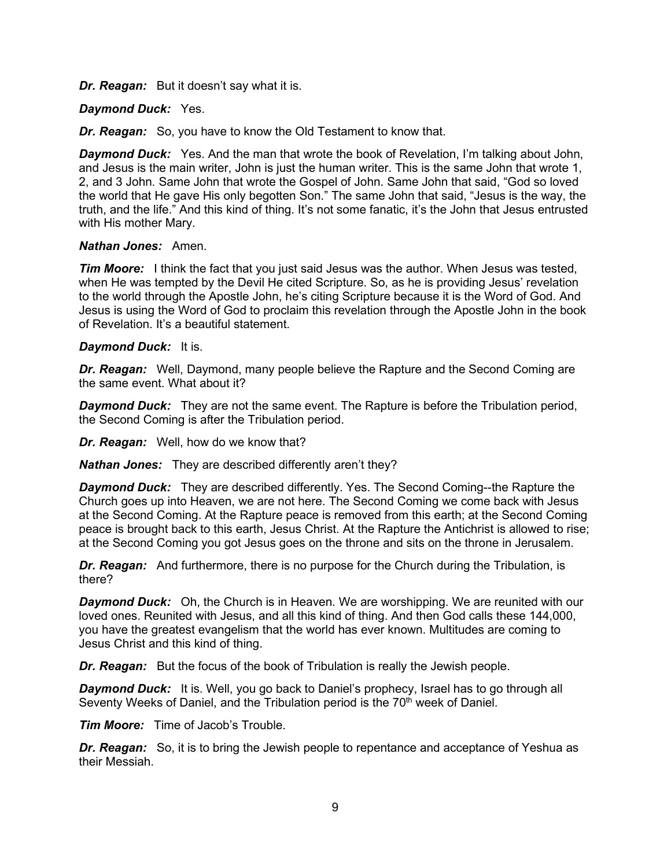*Dr. Reagan:* But it doesn't say what it is.

# *Daymond Duck:* Yes.

*Dr. Reagan:* So, you have to know the Old Testament to know that.

*Daymond Duck:* Yes. And the man that wrote the book of Revelation, I'm talking about John, and Jesus is the main writer, John is just the human writer. This is the same John that wrote 1, 2, and 3 John. Same John that wrote the Gospel of John. Same John that said, "God so loved the world that He gave His only begotten Son." The same John that said, "Jesus is the way, the truth, and the life." And this kind of thing. It's not some fanatic, it's the John that Jesus entrusted with His mother Mary.

#### *Nathan Jones:* Amen.

*Tim Moore:* I think the fact that you just said Jesus was the author. When Jesus was tested, when He was tempted by the Devil He cited Scripture. So, as he is providing Jesus' revelation to the world through the Apostle John, he's citing Scripture because it is the Word of God. And Jesus is using the Word of God to proclaim this revelation through the Apostle John in the book of Revelation. It's a beautiful statement.

# *Daymond Duck:* It is.

*Dr. Reagan:* Well, Daymond, many people believe the Rapture and the Second Coming are the same event. What about it?

*Daymond Duck:* They are not the same event. The Rapture is before the Tribulation period, the Second Coming is after the Tribulation period.

*Dr. Reagan:* Well, how do we know that?

*Nathan Jones:* They are described differently aren't they?

*Daymond Duck:* They are described differently. Yes. The Second Coming--the Rapture the Church goes up into Heaven, we are not here. The Second Coming we come back with Jesus at the Second Coming. At the Rapture peace is removed from this earth; at the Second Coming peace is brought back to this earth, Jesus Christ. At the Rapture the Antichrist is allowed to rise; at the Second Coming you got Jesus goes on the throne and sits on the throne in Jerusalem.

*Dr. Reagan:* And furthermore, there is no purpose for the Church during the Tribulation, is there?

*Daymond Duck:* Oh, the Church is in Heaven. We are worshipping. We are reunited with our loved ones. Reunited with Jesus, and all this kind of thing. And then God calls these 144,000, you have the greatest evangelism that the world has ever known. Multitudes are coming to Jesus Christ and this kind of thing.

*Dr. Reagan:* But the focus of the book of Tribulation is really the Jewish people.

*Daymond Duck:* It is. Well, you go back to Daniel's prophecy, Israel has to go through all Seventy Weeks of Daniel, and the Tribulation period is the  $70<sup>th</sup>$  week of Daniel.

*Tim Moore:* Time of Jacob's Trouble.

*Dr. Reagan:* So, it is to bring the Jewish people to repentance and acceptance of Yeshua as their Messiah.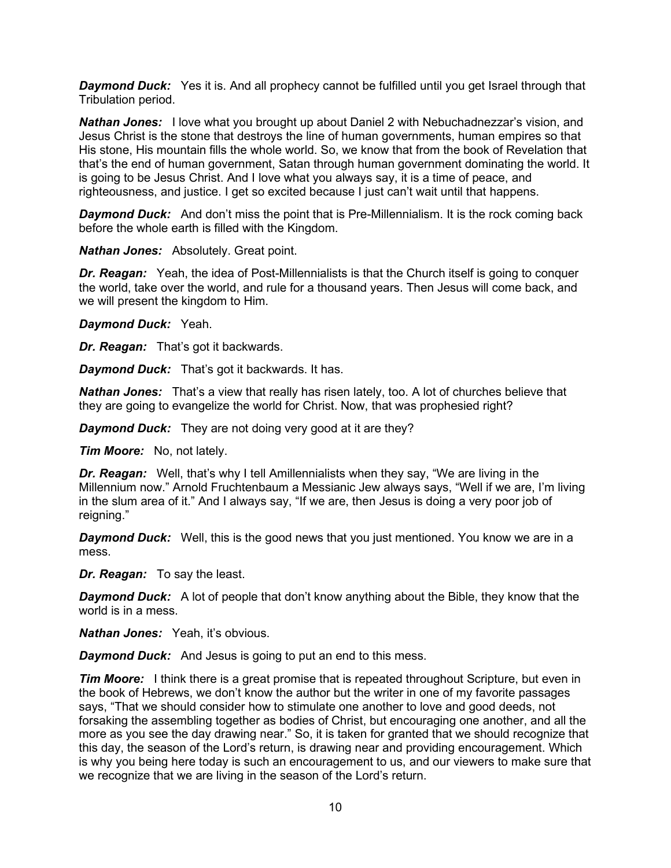**Daymond Duck:** Yes it is. And all prophecy cannot be fulfilled until you get Israel through that Tribulation period.

*Nathan Jones:* I love what you brought up about Daniel 2 with Nebuchadnezzar's vision, and Jesus Christ is the stone that destroys the line of human governments, human empires so that His stone, His mountain fills the whole world. So, we know that from the book of Revelation that that's the end of human government, Satan through human government dominating the world. It is going to be Jesus Christ. And I love what you always say, it is a time of peace, and righteousness, and justice. I get so excited because I just can't wait until that happens.

**Daymond Duck:** And don't miss the point that is Pre-Millennialism. It is the rock coming back before the whole earth is filled with the Kingdom.

*Nathan Jones:* Absolutely. Great point.

*Dr. Reagan:* Yeah, the idea of Post-Millennialists is that the Church itself is going to conquer the world, take over the world, and rule for a thousand years. Then Jesus will come back, and we will present the kingdom to Him.

#### *Daymond Duck:* Yeah.

*Dr. Reagan:* That's got it backwards.

*Daymond Duck:* That's got it backwards. It has.

*Nathan Jones:* That's a view that really has risen lately, too. A lot of churches believe that they are going to evangelize the world for Christ. Now, that was prophesied right?

**Daymond Duck:** They are not doing very good at it are they?

*Tim Moore:* No, not lately.

*Dr. Reagan:* Well, that's why I tell Amillennialists when they say, "We are living in the Millennium now." Arnold Fruchtenbaum a Messianic Jew always says, "Well if we are, I'm living in the slum area of it." And I always say, "If we are, then Jesus is doing a very poor job of reigning."

*Daymond Duck:* Well, this is the good news that you just mentioned. You know we are in a mess.

*Dr. Reagan:* To say the least.

**Daymond Duck:** A lot of people that don't know anything about the Bible, they know that the world is in a mess.

*Nathan Jones:* Yeah, it's obvious.

**Daymond Duck:** And Jesus is going to put an end to this mess.

*Tim Moore:* I think there is a great promise that is repeated throughout Scripture, but even in the book of Hebrews, we don't know the author but the writer in one of my favorite passages says, "That we should consider how to stimulate one another to love and good deeds, not forsaking the assembling together as bodies of Christ, but encouraging one another, and all the more as you see the day drawing near." So, it is taken for granted that we should recognize that this day, the season of the Lord's return, is drawing near and providing encouragement. Which is why you being here today is such an encouragement to us, and our viewers to make sure that we recognize that we are living in the season of the Lord's return.